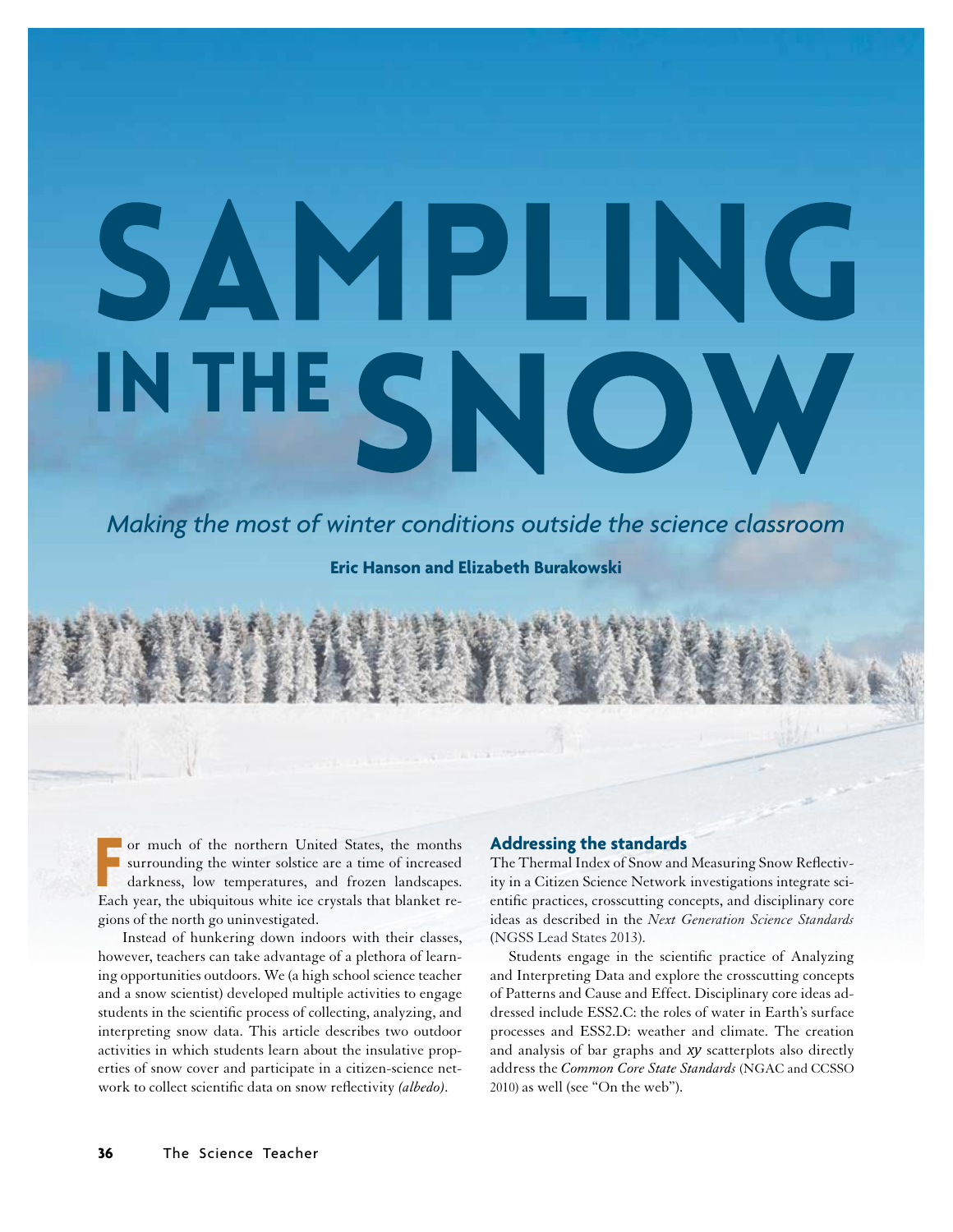# SAMPEIN INTHESN

*Making the most of winter conditions outside the science classroom*

**Eric Hanson and Elizabeth Burakowski**

Franch of the northern United States, the months surrounding the winter solstice are a time of increased darkness, low temperatures, and frozen landscapes.<br>Each year, the ubiquitous white ice crystals that blanket reor much of the northern United States, the months surrounding the winter solstice are a time of increased darkness, low temperatures, and frozen landscapes. gions of the north go uninvestigated.

 Instead of hunkering down indoors with their classes, however, teachers can take advantage of a plethora of learning opportunities outdoors. We (a high school science teacher and a snow scientist) developed multiple activities to engage students in the scientifc process of collecting, analyzing, and interpreting snow data. This article describes two outdoor activities in which students learn about the insulative properties of snow cover and participate in a citizen-science network to collect scientifc data on snow refectivity *(albedo).*

## **Addressing the standards**

The Thermal Index of Snow and Measuring Snow Refectivity in a Citizen Science Network investigations integrate scientifc practices, crosscutting concepts, and disciplinary core ideas as described in the *Next Generation Science Standards* (NGSS Lead States 2013).

Students engage in the scientifc practice of Analyzing and Interpreting Data and explore the crosscutting concepts of Patterns and Cause and Effect. Disciplinary core ideas addressed include ESS2.C: the roles of water in Earth's surface processes and ESS2.D: weather and climate. The creation and analysis of bar graphs and *xy* scatterplots also directly address the *Common Core State Standards* (NGAC and CCSSO 2010) as well (see "On the web").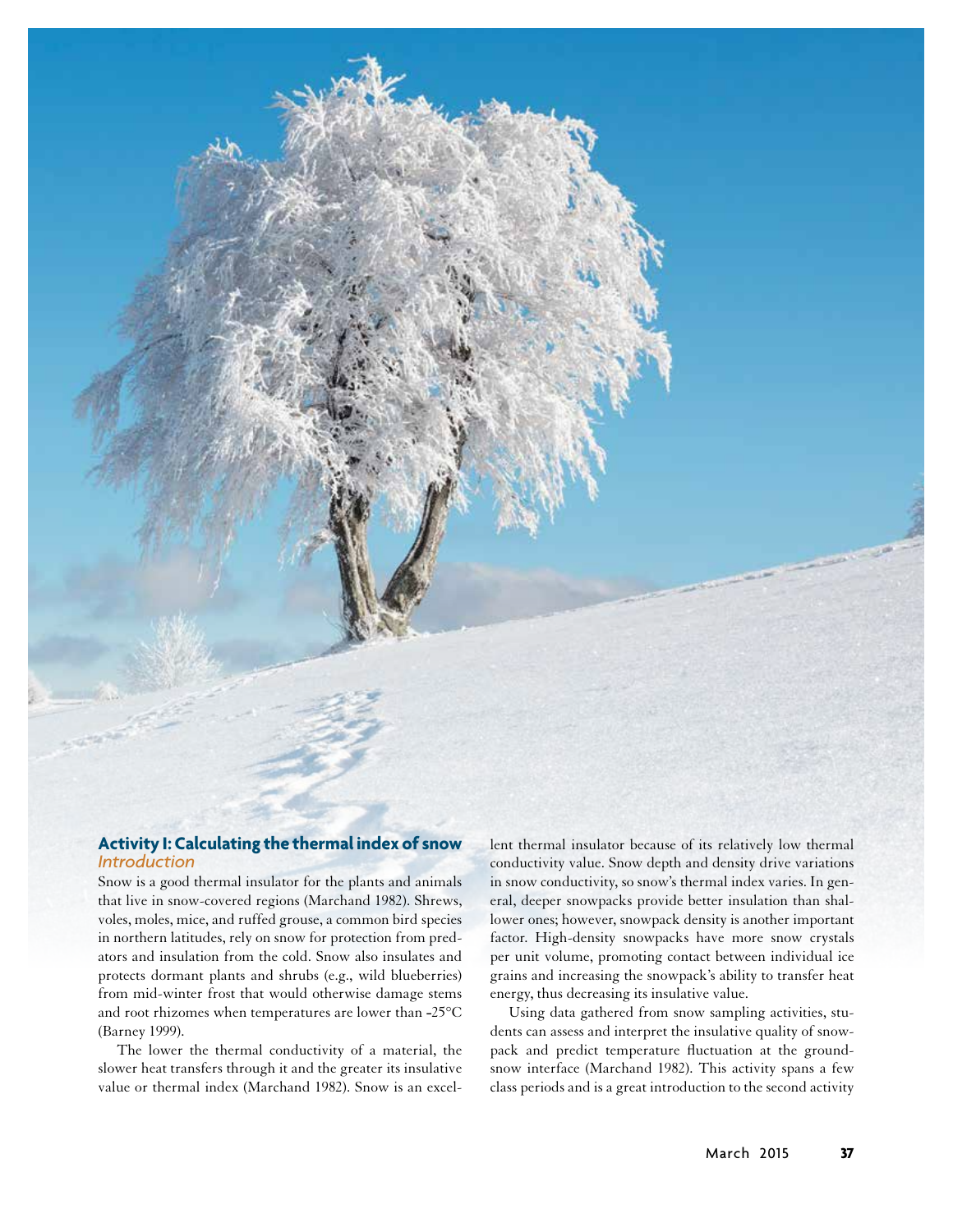

# **Activity I: Calculating the thermal index of snow**  *Introduction*

Snow is a good thermal insulator for the plants and animals that live in snow-covered regions (Marchand 1982). Shrews, voles, moles, mice, and ruffed grouse, a common bird species in northern latitudes, rely on snow for protection from predators and insulation from the cold. Snow also insulates and protects dormant plants and shrubs (e.g., wild blueberries) from mid-winter frost that would otherwise damage stems and root rhizomes when temperatures are lower than  $-25^{\circ}$ C (Barney 1999).

The lower the thermal conductivity of a material, the slower heat transfers through it and the greater its insulative value or thermal index (Marchand 1982). Snow is an excellent thermal insulator because of its relatively low thermal conductivity value. Snow depth and density drive variations in snow conductivity, so snow's thermal index varies. In general, deeper snowpacks provide better insulation than shallower ones; however, snowpack density is another important factor. High-density snowpacks have more snow crystals per unit volume, promoting contact between individual ice grains and increasing the snowpack's ability to transfer heat energy, thus decreasing its insulative value.

Using data gathered from snow sampling activities, students can assess and interpret the insulative quality of snowpack and predict temperature fuctuation at the groundsnow interface (Marchand 1982). This activity spans a few class periods and is a great introduction to the second activity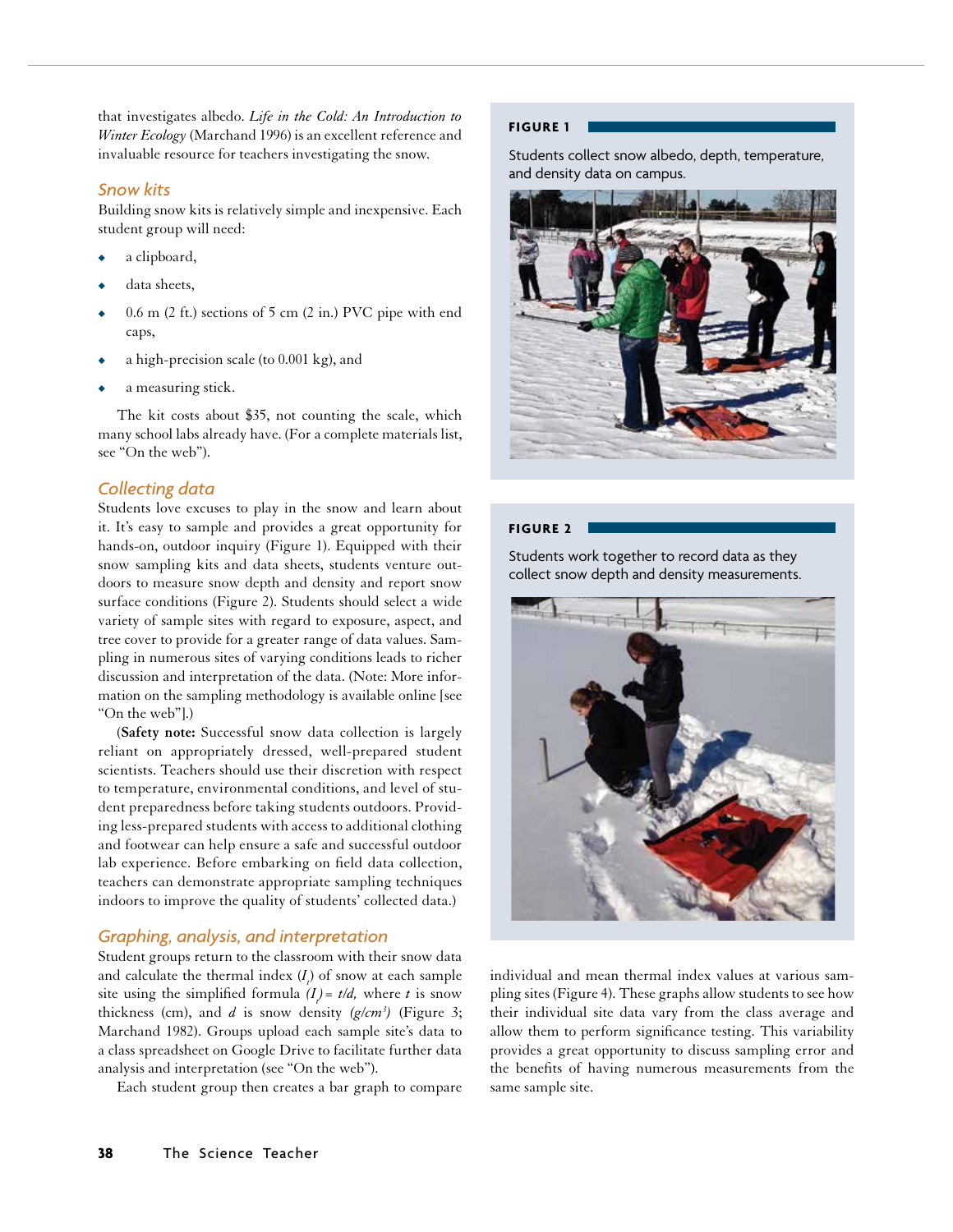that investigates albedo. *Life in the Cold: An Introduction to Winter Ecology* (Marchand 1996) is an excellent reference and invaluable resource for teachers investigating the snow.

## *Snow kits*

Building snow kits is relatively simple and inexpensive. Each student group will need:

- a clipboard,
- data sheets,
- $0.6$  m  $(2 \text{ ft.})$  sections of 5 cm  $(2 \text{ in.})$  PVC pipe with end caps,
- a high-precision scale (to  $0.001$  kg), and
- a measuring stick.

The kit costs about \$35, not counting the scale, which many school labs already have. (For a complete materials list, see "On the web").

# *Collecting data*

Students love excuses to play in the snow and learn about it. It's easy to sample and provides a great opportunity for hands-on, outdoor inquiry (Figure 1). Equipped with their snow sampling kits and data sheets, students venture outdoors to measure snow depth and density and report snow surface conditions (Figure 2). Students should select a wide variety of sample sites with regard to exposure, aspect, and tree cover to provide for a greater range of data values. Sampling in numerous sites of varying conditions leads to richer discussion and interpretation of the data. (Note: More information on the sampling methodology is available online [see "On the web"].)

(**Safety note:** Successful snow data collection is largely reliant on appropriately dressed, well-prepared student scientists. Teachers should use their discretion with respect to temperature, environmental conditions, and level of student preparedness before taking students outdoors. Providing less-prepared students with access to additional clothing and footwear can help ensure a safe and successful outdoor lab experience. Before embarking on feld data collection, teachers can demonstrate appropriate sampling techniques indoors to improve the quality of students' collected data.)

# *Graphing, analysis, and interpretation*

Student groups return to the classroom with their snow data and calculate the thermal index (*I<sub>t</sub>*) of snow at each sample site using the simplified formula  $(I_t) = t/d$ , where *t* is snow thickness (cm), and *d* is snow density *(g/cm3 )* (Figure 3; Marchand 1982). Groups upload each sample site's data to a class spreadsheet on Google Drive to facilitate further data analysis and interpretation (see "On the web").

Each student group then creates a bar graph to compare

## **FIGURE 1**

Students collect snow albedo, depth, temperature, and density data on campus.



## **FIGURE 2**

Students work together to record data as they collect snow depth and density measurements.



individual and mean thermal index values at various sampling sites (Figure 4). These graphs allow students to see how their individual site data vary from the class average and allow them to perform signifcance testing. This variability provides a great opportunity to discuss sampling error and the benefts of having numerous measurements from the same sample site.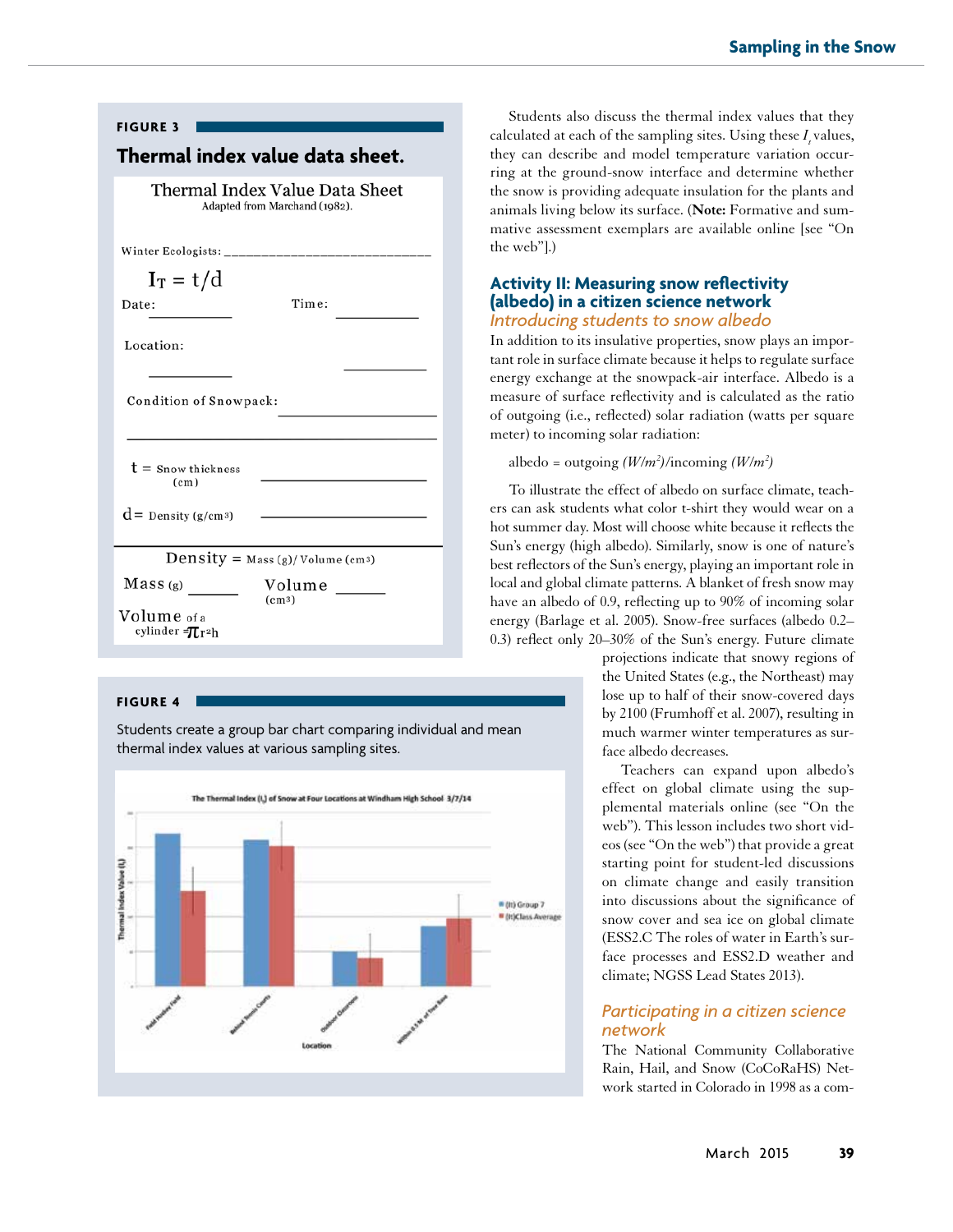| <b>FIGURE 3</b>                                                 |                                                                            |
|-----------------------------------------------------------------|----------------------------------------------------------------------------|
| Thermal index value data sheet.                                 |                                                                            |
| Thermal Index Value Data Sheet<br>Adapted from Marchand (1982). |                                                                            |
|                                                                 |                                                                            |
| $I_T = t/d$                                                     |                                                                            |
| Date:                                                           | Time:                                                                      |
| Location:                                                       |                                                                            |
| Condition of Snowpack:                                          |                                                                            |
| $t =$ Snow thickness<br>(c <sub>m</sub> )                       |                                                                            |
| $d =$ Density (g/cm <sup>3</sup> )                              | the control of the control of the control of the control of the control of |
| Density = $Mass(g)/Volume(cm3)$                                 |                                                                            |
| Mass(g)                                                         | Volume <u>volume</u>                                                       |
| (cm3)<br>Volume of a<br>cylinder = Tr2h                         |                                                                            |

#### **FIGURE 4**

Students create a group bar chart comparing individual and mean thermal index values at various sampling sites.



Students also discuss the thermal index values that they calculated at each of the sampling sites. Using these  $I_i$  values, they can describe and model temperature variation occurring at the ground-snow interface and determine whether the snow is providing adequate insulation for the plants and animals living below its surface. (**Note:** Formative and summative assessment exemplars are available online [see "On the web"].)

# **Activity II: Measuring snow reflectivity (albedo) in a citizen science network** *Introducing students to snow albedo*

In addition to its insulative properties, snow plays an important role in surface climate because it helps to regulate surface energy exchange at the snowpack-air interface. Albedo is a measure of surface refectivity and is calculated as the ratio of outgoing (i.e., refected) solar radiation (watts per square meter) to incoming solar radiation:

albedo = outgoing  $(W/m^2)/$ incoming  $(W/m^2)$ 

To illustrate the effect of albedo on surface climate, teachers can ask students what color t-shirt they would wear on a hot summer day. Most will choose white because it refects the Sun's energy (high albedo). Similarly, snow is one of nature's best refectors of the Sun's energy, playing an important role in local and global climate patterns. A blanket of fresh snow may have an albedo of 0.9, reflecting up to 90% of incoming solar energy (Barlage et al. 2005). Snow-free surfaces (albedo 0.2– 0.3) refect only 20–30% of the Sun's energy. Future climate

> projections indicate that snowy regions of the United States (e.g., the Northeast) may lose up to half of their snow-covered days by 2100 (Frumhoff et al. 2007), resulting in much warmer winter temperatures as surface albedo decreases.

> Teachers can expand upon albedo's effect on global climate using the supplemental materials online (see "On the web"). This lesson includes two short videos (see "On the web") that provide a great starting point for student-led discussions on climate change and easily transition into discussions about the signifcance of snow cover and sea ice on global climate (ESS2.C The roles of water in Earth's surface processes and ESS2.D weather and climate; NGSS Lead States 2013).

# *Participating in a citizen science network*

The National Community Collaborative Rain, Hail, and Snow (CoCoRaHS) Network started in Colorado in 1998 as a com-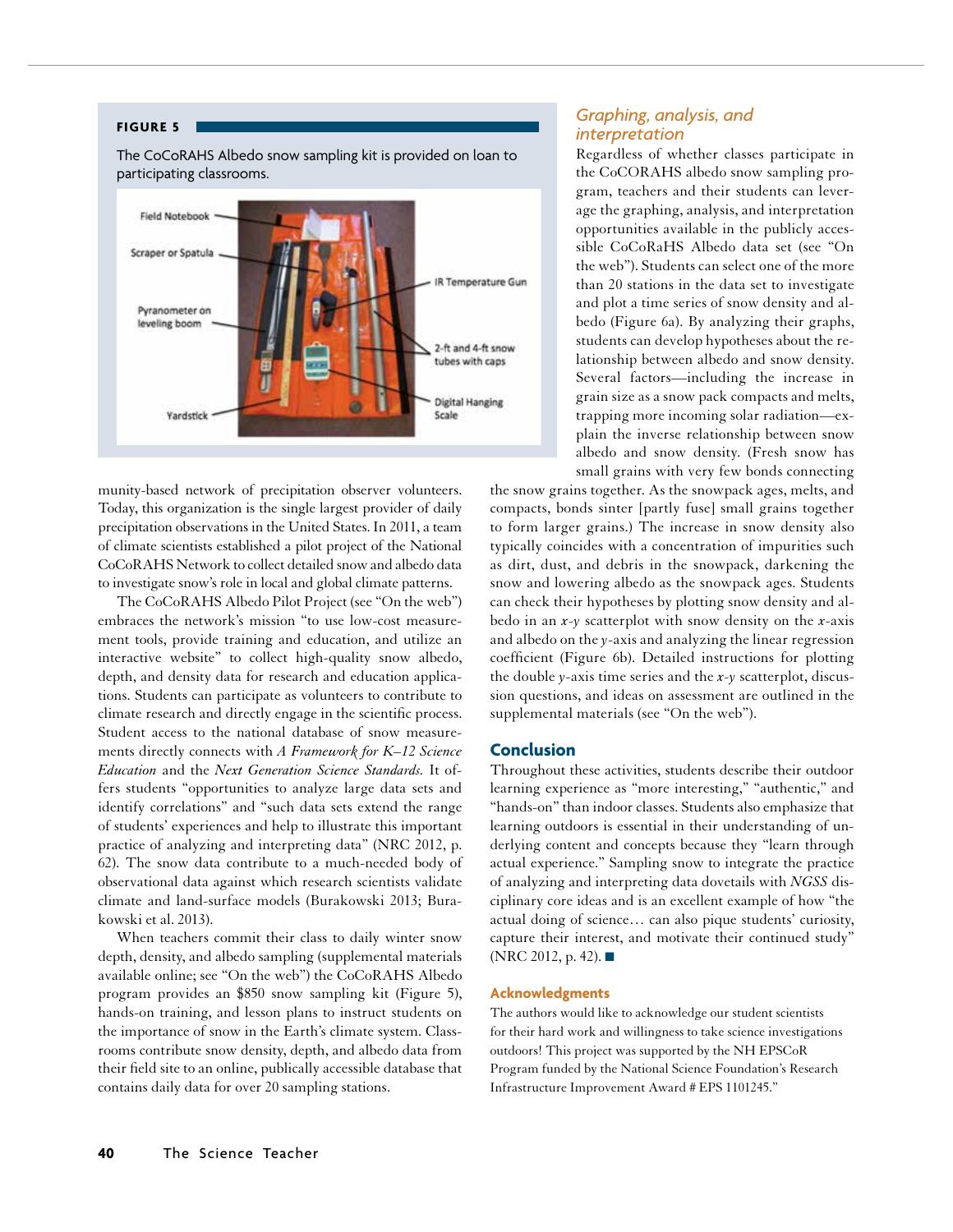#### **FIGURE 5**

The CoCoRAHS Albedo snow sampling kit is provided on loan to participating classrooms.



munity-based network of precipitation observer volunteers. Today, this organization is the single largest provider of daily precipitation observations in the United States. In 2011, a team of climate scientists established a pilot project of the National CoCoRAHS Network to collect detailed snow and albedo data to investigate snow's role in local and global climate patterns.

The CoCoRAHS Albedo Pilot Project (see "On the web") embraces the network's mission "to use low-cost measurement tools, provide training and education, and utilize an interactive website" to collect high-quality snow albedo, depth, and density data for research and education applications. Students can participate as volunteers to contribute to climate research and directly engage in the scientifc process. Student access to the national database of snow measurements directly connects with *A Framework for K–12 Science Education* and the *Next Generation Science Standards.* It offers students "opportunities to analyze large data sets and identify correlations" and "such data sets extend the range of students' experiences and help to illustrate this important practice of analyzing and interpreting data" (NRC 2012, p. 62). The snow data contribute to a much-needed body of observational data against which research scientists validate climate and land-surface models (Burakowski 2013; Burakowski et al. 2013).

When teachers commit their class to daily winter snow depth, density, and albedo sampling (supplemental materials available online; see "On the web") the CoCoRAHS Albedo program provides an \$850 snow sampling kit (Figure 5), hands-on training, and lesson plans to instruct students on the importance of snow in the Earth's climate system. Classrooms contribute snow density, depth, and albedo data from their feld site to an online, publically accessible database that contains daily data for over 20 sampling stations.

# *Graphing, analysis, and interpretation*

Regardless of whether classes participate in the CoCORAHS albedo snow sampling program, teachers and their students can leverage the graphing, analysis, and interpretation opportunities available in the publicly accessible CoCoRaHS Albedo data set (see "On the web"). Students can select one of the more than 20 stations in the data set to investigate and plot a time series of snow density and albedo (Figure 6a). By analyzing their graphs, students can develop hypotheses about the relationship between albedo and snow density. Several factors—including the increase in grain size as a snow pack compacts and melts, trapping more incoming solar radiation—explain the inverse relationship between snow albedo and snow density. (Fresh snow has small grains with very few bonds connecting

the snow grains together. As the snowpack ages, melts, and compacts, bonds sinter [partly fuse] small grains together to form larger grains.) The increase in snow density also typically coincides with a concentration of impurities such as dirt, dust, and debris in the snowpack, darkening the snow and lowering albedo as the snowpack ages. Students can check their hypotheses by plotting snow density and albedo in an *x-y* scatterplot with snow density on the *x*-axis and albedo on the *y*-axis and analyzing the linear regression coefficient (Figure 6b). Detailed instructions for plotting the double *y*-axis time series and the *x-y* scatterplot, discussion questions, and ideas on assessment are outlined in the supplemental materials (see "On the web").

## **Conclusion**

Throughout these activities, students describe their outdoor learning experience as "more interesting," "authentic," and "hands-on" than indoor classes. Students also emphasize that learning outdoors is essential in their understanding of underlying content and concepts because they "learn through actual experience." Sampling snow to integrate the practice of analyzing and interpreting data dovetails with *NGSS* disciplinary core ideas and is an excellent example of how "the actual doing of science… can also pique students' curiosity, capture their interest, and motivate their continued study" (NRC 2012, p. 42). ■

## **Acknowledgments**

The authors would like to acknowledge our student scientists for their hard work and willingness to take science investigations outdoors! This project was supported by the NH EPSCoR Program funded by the National Science Foundation's Research Infrastructure Improvement Award # EPS 1101245."